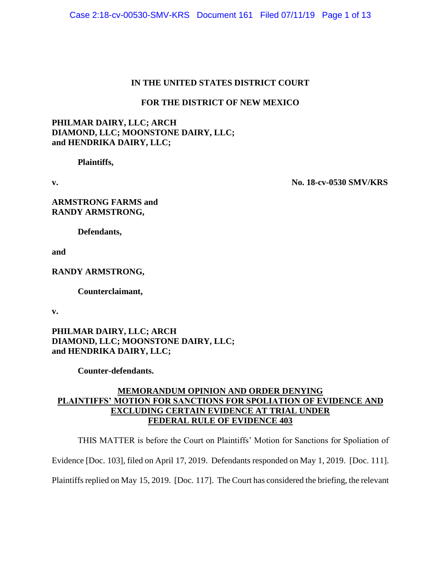# **IN THE UNITED STATES DISTRICT COURT**

## **FOR THE DISTRICT OF NEW MEXICO**

# **PHILMAR DAIRY, LLC; ARCH DIAMOND, LLC; MOONSTONE DAIRY, LLC; and HENDRIKA DAIRY, LLC;**

**Plaintiffs,**

**v. No. 18-cv-0530 SMV/KRS**

**ARMSTRONG FARMS and RANDY ARMSTRONG,**

**Defendants,**

**and** 

**RANDY ARMSTRONG,**

**Counterclaimant,**

**v.**

# **PHILMAR DAIRY, LLC; ARCH DIAMOND, LLC; MOONSTONE DAIRY, LLC; and HENDRIKA DAIRY, LLC;**

**Counter-defendants.**

# **MEMORANDUM OPINION AND ORDER DENYING PLAINTIFFS' MOTION FOR SANCTIONS FOR SPOLIATION OF EVIDENCE AND EXCLUDING CERTAIN EVIDENCE AT TRIAL UNDER FEDERAL RULE OF EVIDENCE 403**

THIS MATTER is before the Court on Plaintiffs' Motion for Sanctions for Spoliation of

Evidence [Doc. 103], filed on April 17, 2019. Defendants responded on May 1, 2019. [Doc. 111].

Plaintiffs replied on May 15, 2019. [Doc. 117]. The Court has considered the briefing, the relevant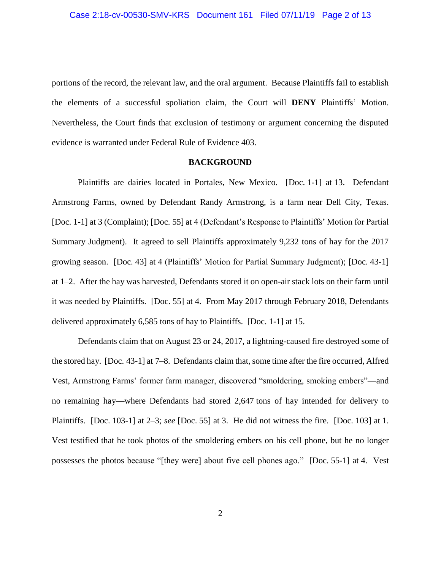portions of the record, the relevant law, and the oral argument. Because Plaintiffs fail to establish the elements of a successful spoliation claim, the Court will **DENY** Plaintiffs' Motion. Nevertheless, the Court finds that exclusion of testimony or argument concerning the disputed evidence is warranted under Federal Rule of Evidence 403.

### **BACKGROUND**

Plaintiffs are dairies located in Portales, New Mexico. [Doc. 1-1] at 13. Defendant Armstrong Farms, owned by Defendant Randy Armstrong, is a farm near Dell City, Texas. [Doc. 1-1] at 3 (Complaint); [Doc. 55] at 4 (Defendant's Response to Plaintiffs' Motion for Partial Summary Judgment). It agreed to sell Plaintiffs approximately 9,232 tons of hay for the 2017 growing season. [Doc. 43] at 4 (Plaintiffs' Motion for Partial Summary Judgment); [Doc. 43-1] at 1–2. After the hay was harvested, Defendants stored it on open-air stack lots on their farm until it was needed by Plaintiffs. [Doc. 55] at 4. From May 2017 through February 2018, Defendants delivered approximately 6,585 tons of hay to Plaintiffs. [Doc. 1-1] at 15.

Defendants claim that on August 23 or 24, 2017, a lightning-caused fire destroyed some of the stored hay. [Doc. 43-1] at 7–8. Defendants claim that, some time after the fire occurred, Alfred Vest, Armstrong Farms' former farm manager, discovered "smoldering, smoking embers"—and no remaining hay—where Defendants had stored 2,647 tons of hay intended for delivery to Plaintiffs. [Doc. 103-1] at 2–3; *see* [Doc. 55] at 3. He did not witness the fire. [Doc. 103] at 1. Vest testified that he took photos of the smoldering embers on his cell phone, but he no longer possesses the photos because "[they were] about five cell phones ago." [Doc. 55-1] at 4. Vest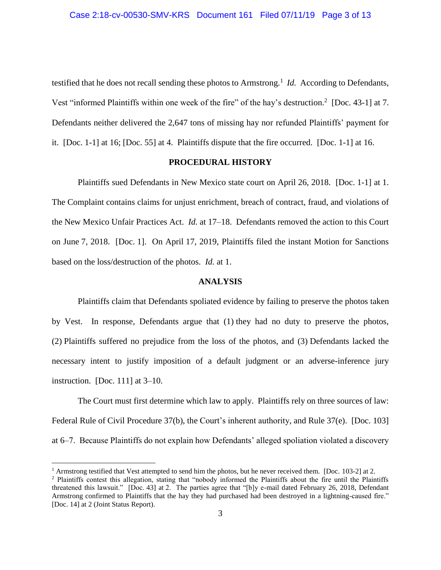testified that he does not recall sending these photos to Armstrong.<sup>1</sup> *Id.* According to Defendants, Vest "informed Plaintiffs within one week of the fire" of the hay's destruction.<sup>2</sup> [Doc. 43-1] at 7. Defendants neither delivered the 2,647 tons of missing hay nor refunded Plaintiffs' payment for it. [Doc. 1-1] at 16; [Doc. 55] at 4. Plaintiffs dispute that the fire occurred. [Doc. 1-1] at 16.

## **PROCEDURAL HISTORY**

Plaintiffs sued Defendants in New Mexico state court on April 26, 2018. [Doc. 1-1] at 1. The Complaint contains claims for unjust enrichment, breach of contract, fraud, and violations of the New Mexico Unfair Practices Act. *Id.* at 17–18. Defendants removed the action to this Court on June 7, 2018. [Doc. 1]. On April 17, 2019, Plaintiffs filed the instant Motion for Sanctions based on the loss/destruction of the photos. *Id.* at 1.

## **ANALYSIS**

Plaintiffs claim that Defendants spoliated evidence by failing to preserve the photos taken by Vest. In response, Defendants argue that (1) they had no duty to preserve the photos, (2) Plaintiffs suffered no prejudice from the loss of the photos, and (3) Defendants lacked the necessary intent to justify imposition of a default judgment or an adverse-inference jury instruction. [Doc. 111] at 3–10.

The Court must first determine which law to apply. Plaintiffs rely on three sources of law: Federal Rule of Civil Procedure 37(b), the Court's inherent authority, and Rule 37(e). [Doc. 103] at 6–7. Because Plaintiffs do not explain how Defendants' alleged spoliation violated a discovery

<sup>&</sup>lt;sup>1</sup> Armstrong testified that Vest attempted to send him the photos, but he never received them. [Doc. 103-2] at 2.

<sup>2</sup> Plaintiffs contest this allegation, stating that "nobody informed the Plaintiffs about the fire until the Plaintiffs threatened this lawsuit." [Doc. 43] at 2. The parties agree that "[b]y e-mail dated February 26, 2018, Defendant Armstrong confirmed to Plaintiffs that the hay they had purchased had been destroyed in a lightning-caused fire." [Doc. 14] at 2 (Joint Status Report).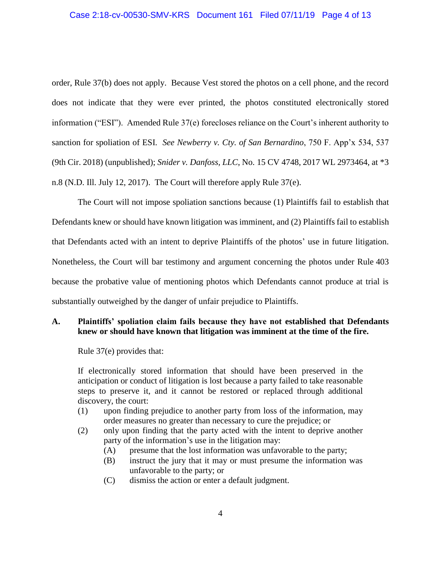### Case 2:18-cv-00530-SMV-KRS Document 161 Filed 07/11/19 Page 4 of 13

order, Rule 37(b) does not apply. Because Vest stored the photos on a cell phone, and the record does not indicate that they were ever printed, the photos constituted electronically stored information ("ESI"). Amended Rule 37(e) forecloses reliance on the Court's inherent authority to sanction for spoliation of ESI. *See Newberry v. Cty. of San Bernardino*, 750 F. App'x 534, 537 (9th Cir. 2018) (unpublished); *Snider v. Danfoss, LLC*, No. 15 CV 4748, 2017 WL 2973464, at \*3 n.8 (N.D. Ill. July 12, 2017). The Court will therefore apply Rule 37(e).

The Court will not impose spoliation sanctions because (1) Plaintiffs fail to establish that Defendants knew or should have known litigation was imminent, and (2) Plaintiffs fail to establish that Defendants acted with an intent to deprive Plaintiffs of the photos' use in future litigation. Nonetheless, the Court will bar testimony and argument concerning the photos under Rule 403 because the probative value of mentioning photos which Defendants cannot produce at trial is substantially outweighed by the danger of unfair prejudice to Plaintiffs.

## **A. Plaintiffs' spoliation claim fails because they have not established that Defendants knew or should have known that litigation was imminent at the time of the fire.**

Rule 37(e) provides that:

If electronically stored information that should have been preserved in the anticipation or conduct of litigation is lost because a party failed to take reasonable steps to preserve it, and it cannot be restored or replaced through additional discovery, the court:

- (1) upon finding prejudice to another party from loss of the information, may order measures no greater than necessary to cure the prejudice; or
- (2) only upon finding that the party acted with the intent to deprive another party of the information's use in the litigation may:
	- (A) presume that the lost information was unfavorable to the party;
	- (B) instruct the jury that it may or must presume the information was unfavorable to the party; or
	- (C) dismiss the action or enter a default judgment.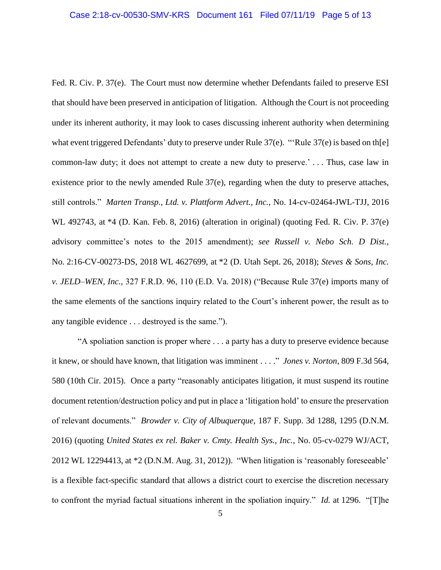Fed. R. Civ. P. 37(e). The Court must now determine whether Defendants failed to preserve ESI that should have been preserved in anticipation of litigation. Although the Court is not proceeding under its inherent authority, it may look to cases discussing inherent authority when determining what event triggered Defendants' duty to preserve under Rule 37(e). "'Rule 37(e) is based on th[e] common-law duty; it does not attempt to create a new duty to preserve.' . . . Thus, case law in existence prior to the newly amended Rule 37(e), regarding when the duty to preserve attaches, still controls." *Marten Transp., Ltd. v. Plattform Advert., Inc.*, No. 14-cv-02464-JWL-TJJ, 2016 WL 492743, at \*4 (D. Kan. Feb. 8, 2016) (alteration in original) (quoting Fed. R. Civ. P. 37(e) advisory committee's notes to the 2015 amendment); *see Russell v. Nebo Sch. D Dist.*, No. 2:16-CV-00273-DS, 2018 WL 4627699, at \*2 (D. Utah Sept. 26, 2018); *Steves & Sons, Inc. v. JELD–WEN, Inc.*, 327 F.R.D. 96, 110 (E.D. Va. 2018) ("Because Rule 37(e) imports many of the same elements of the sanctions inquiry related to the Court's inherent power, the result as to any tangible evidence . . . destroyed is the same.").

"A spoliation sanction is proper where . . . a party has a duty to preserve evidence because it knew, or should have known, that litigation was imminent . . . ." *Jones v. Norton*, 809 F.3d 564, 580 (10th Cir. 2015). Once a party "reasonably anticipates litigation, it must suspend its routine document retention/destruction policy and put in place a 'litigation hold' to ensure the preservation of relevant documents." *Browder v. City of Albuquerque*, 187 F. Supp. 3d 1288, 1295 (D.N.M. 2016) (quoting *United States ex rel. Baker v. Cmty. Health Sys., Inc.*, No. 05-cv-0279 WJ/ACT, 2012 WL 12294413, at \*2 (D.N.M. Aug. 31, 2012)). "When litigation is 'reasonably foreseeable' is a flexible fact-specific standard that allows a district court to exercise the discretion necessary to confront the myriad factual situations inherent in the spoliation inquiry." *Id.* at 1296. "[T]he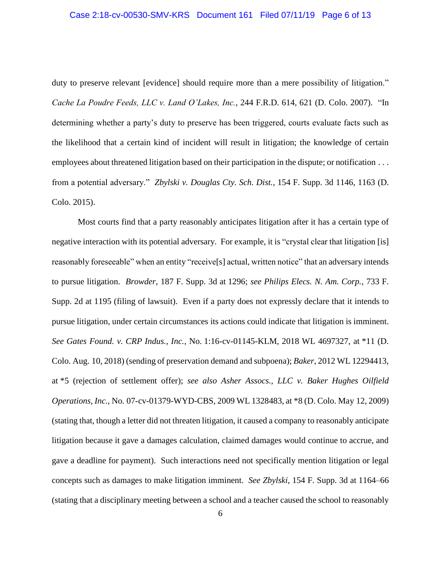duty to preserve relevant [evidence] should require more than a mere possibility of litigation." *Cache La Poudre Feeds, LLC v. Land O'Lakes, Inc.*, 244 F.R.D. 614, 621 (D. Colo. 2007)."In determining whether a party's duty to preserve has been triggered, courts evaluate facts such as the likelihood that a certain kind of incident will result in litigation; the knowledge of certain employees about threatened litigation based on their participation in the dispute; or notification . . . from a potential adversary." *Zbylski v. Douglas Cty. Sch. Dist.*, 154 F. Supp. 3d 1146, 1163 (D. Colo. 2015).

Most courts find that a party reasonably anticipates litigation after it has a certain type of negative interaction with its potential adversary. For example, it is "crystal clear that litigation [is] reasonably foreseeable" when an entity "receive[s] actual, written notice" that an adversary intends to pursue litigation. *Browder*, 187 F. Supp. 3d at 1296; *see Philips Elecs. N. Am. Corp.*, 733 F. Supp. 2d at 1195 (filing of lawsuit). Even if a party does not expressly declare that it intends to pursue litigation, under certain circumstances its actions could indicate that litigation is imminent. *See Gates Found. v. CRP Indus., Inc.*, No. 1:16-cv-01145-KLM, 2018 WL 4697327, at \*11 (D. Colo. Aug. 10, 2018) (sending of preservation demand and subpoena); *Baker*, 2012 WL 12294413, at \*5 (rejection of settlement offer); *see also Asher Assocs., LLC v. Baker Hughes Oilfield Operations, Inc.*, No. 07-cv-01379-WYD-CBS, 2009 WL 1328483, at \*8 (D. Colo. May 12, 2009) (stating that, though a letter did not threaten litigation, it caused a company to reasonably anticipate litigation because it gave a damages calculation, claimed damages would continue to accrue, and gave a deadline for payment). Such interactions need not specifically mention litigation or legal concepts such as damages to make litigation imminent. *See Zbylski*, 154 F. Supp. 3d at 1164–66 (stating that a disciplinary meeting between a school and a teacher caused the school to reasonably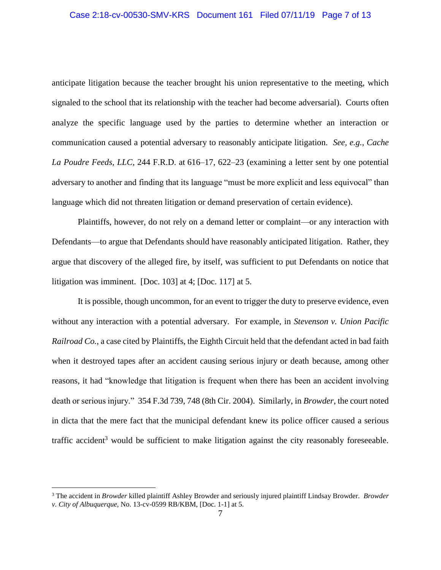### Case 2:18-cv-00530-SMV-KRS Document 161 Filed 07/11/19 Page 7 of 13

anticipate litigation because the teacher brought his union representative to the meeting, which signaled to the school that its relationship with the teacher had become adversarial). Courts often analyze the specific language used by the parties to determine whether an interaction or communication caused a potential adversary to reasonably anticipate litigation. *See, e.g.*, *Cache La Poudre Feeds, LLC*, 244 F.R.D. at 616–17, 622–23 (examining a letter sent by one potential adversary to another and finding that its language "must be more explicit and less equivocal" than language which did not threaten litigation or demand preservation of certain evidence).

Plaintiffs, however, do not rely on a demand letter or complaint—or any interaction with Defendants—to argue that Defendants should have reasonably anticipated litigation. Rather, they argue that discovery of the alleged fire, by itself, was sufficient to put Defendants on notice that litigation was imminent. [Doc. 103] at 4; [Doc. 117] at 5.

It is possible, though uncommon, for an event to trigger the duty to preserve evidence, even without any interaction with a potential adversary. For example, in *Stevenson v. Union Pacific Railroad Co.*, a case cited by Plaintiffs, the Eighth Circuit held that the defendant acted in bad faith when it destroyed tapes after an accident causing serious injury or death because, among other reasons, it had "knowledge that litigation is frequent when there has been an accident involving death or serious injury." 354 F.3d 739, 748 (8th Cir. 2004). Similarly, in *Browder*, the court noted in dicta that the mere fact that the municipal defendant knew its police officer caused a serious traffic accident<sup>3</sup> would be sufficient to make litigation against the city reasonably foreseeable.

<sup>3</sup> The accident in *Browder* killed plaintiff Ashley Browder and seriously injured plaintiff Lindsay Browder. *Browder v. City of Albuquerque*, No. 13-cv-0599 RB/KBM, [Doc. 1-1] at 5.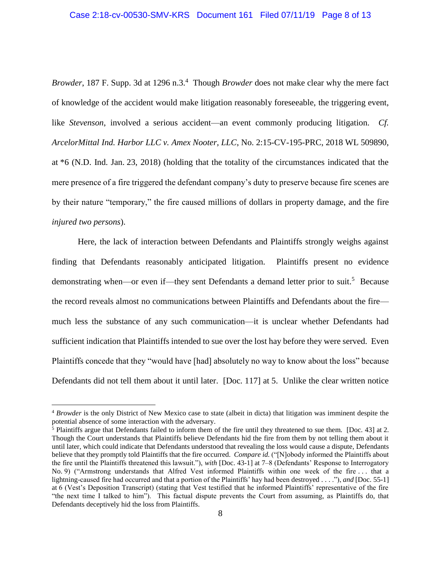Browder, 187 F. Supp. 3d at 1296 n.3.<sup>4</sup> Though *Browder* does not make clear why the mere fact of knowledge of the accident would make litigation reasonably foreseeable, the triggering event, like *Stevenson*, involved a serious accident—an event commonly producing litigation. *Cf. ArcelorMittal Ind. Harbor LLC v. Amex Nooter, LLC*, No. 2:15-CV-195-PRC, 2018 WL 509890, at \*6 (N.D. Ind. Jan. 23, 2018) (holding that the totality of the circumstances indicated that the mere presence of a fire triggered the defendant company's duty to preserve because fire scenes are by their nature "temporary," the fire caused millions of dollars in property damage, and the fire *injured two persons*).

Here, the lack of interaction between Defendants and Plaintiffs strongly weighs against finding that Defendants reasonably anticipated litigation. Plaintiffs present no evidence demonstrating when—or even if—they sent Defendants a demand letter prior to suit.<sup>5</sup> Because the record reveals almost no communications between Plaintiffs and Defendants about the fire much less the substance of any such communication—it is unclear whether Defendants had sufficient indication that Plaintiffs intended to sue over the lost hay before they were served. Even Plaintiffs concede that they "would have [had] absolutely no way to know about the loss" because Defendants did not tell them about it until later. [Doc. 117] at 5. Unlike the clear written notice

<sup>4</sup> *Browder* is the only District of New Mexico case to state (albeit in dicta) that litigation was imminent despite the potential absence of some interaction with the adversary.

 $5$  Plaintiffs argue that Defendants failed to inform them of the fire until they threatened to sue them. [Doc. 43] at 2. Though the Court understands that Plaintiffs believe Defendants hid the fire from them by not telling them about it until later, which could indicate that Defendants understood that revealing the loss would cause a dispute, Defendants believe that they promptly told Plaintiffs that the fire occurred. *Compare id.* ("[N]obody informed the Plaintiffs about the fire until the Plaintiffs threatened this lawsuit."), *with* [Doc. 43-1] at 7–8 (Defendants' Response to Interrogatory No. 9) ("Armstrong understands that Alfred Vest informed Plaintiffs within one week of the fire . . . that a lightning-caused fire had occurred and that a portion of the Plaintiffs' hay had been destroyed . . . ."), *and* [Doc. 55-1] at 6 (Vest's Deposition Transcript) (stating that Vest testified that he informed Plaintiffs' representative of the fire "the next time I talked to him"). This factual dispute prevents the Court from assuming, as Plaintiffs do, that Defendants deceptively hid the loss from Plaintiffs.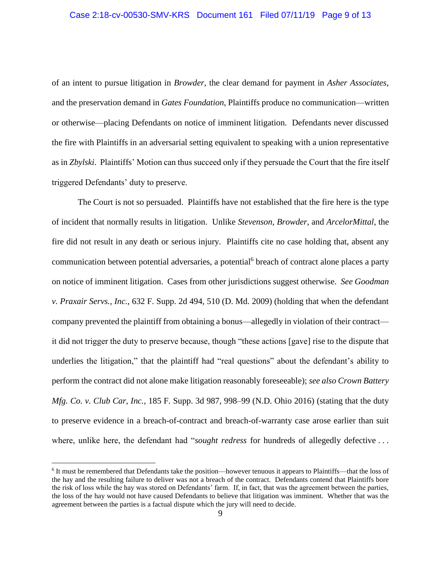### Case 2:18-cv-00530-SMV-KRS Document 161 Filed 07/11/19 Page 9 of 13

of an intent to pursue litigation in *Browder*, the clear demand for payment in *Asher Associates*, and the preservation demand in *Gates Foundation*, Plaintiffs produce no communication—written or otherwise—placing Defendants on notice of imminent litigation. Defendants never discussed the fire with Plaintiffs in an adversarial setting equivalent to speaking with a union representative as in *Zbylski*. Plaintiffs' Motion can thus succeed only if they persuade the Court that the fire itself triggered Defendants' duty to preserve.

The Court is not so persuaded. Plaintiffs have not established that the fire here is the type of incident that normally results in litigation. Unlike *Stevenson*, *Browder*, and *ArcelorMittal*, the fire did not result in any death or serious injury. Plaintiffs cite no case holding that, absent any communication between potential adversaries, a potential<sup>6</sup> breach of contract alone places a party on notice of imminent litigation. Cases from other jurisdictions suggest otherwise. *See Goodman v. Praxair Servs., Inc.*, 632 F. Supp. 2d 494, 510 (D. Md. 2009) (holding that when the defendant company prevented the plaintiff from obtaining a bonus—allegedly in violation of their contract it did not trigger the duty to preserve because, though "these actions [gave] rise to the dispute that underlies the litigation," that the plaintiff had "real questions" about the defendant's ability to perform the contract did not alone make litigation reasonably foreseeable); *see also Crown Battery Mfg. Co. v. Club Car, Inc.*, 185 F. Supp. 3d 987, 998–99 (N.D. Ohio 2016) (stating that the duty to preserve evidence in a breach-of-contract and breach-of-warranty case arose earlier than suit where, unlike here, the defendant had "*sought redress* for hundreds of allegedly defective . . .

<sup>&</sup>lt;sup>6</sup> It must be remembered that Defendants take the position—however tenuous it appears to Plaintiffs—that the loss of the hay and the resulting failure to deliver was not a breach of the contract. Defendants contend that Plaintiffs bore the risk of loss while the hay was stored on Defendants' farm. If, in fact, that was the agreement between the parties, the loss of the hay would not have caused Defendants to believe that litigation was imminent. Whether that was the agreement between the parties is a factual dispute which the jury will need to decide.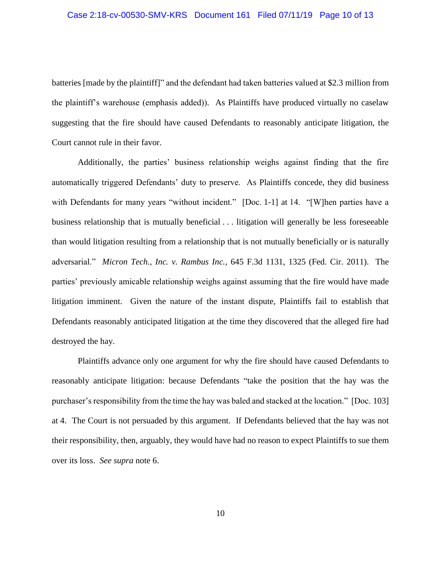batteries [made by the plaintiff]" and the defendant had taken batteries valued at \$2.3 million from the plaintiff's warehouse (emphasis added)). As Plaintiffs have produced virtually no caselaw suggesting that the fire should have caused Defendants to reasonably anticipate litigation, the Court cannot rule in their favor.

Additionally, the parties' business relationship weighs against finding that the fire automatically triggered Defendants' duty to preserve. As Plaintiffs concede, they did business with Defendants for many years "without incident." [Doc. 1-1] at 14. "[W]hen parties have a business relationship that is mutually beneficial . . . litigation will generally be less foreseeable than would litigation resulting from a relationship that is not mutually beneficially or is naturally adversarial." *Micron Tech., Inc. v. Rambus Inc.*, 645 F.3d 1131, 1325 (Fed. Cir. 2011). The parties' previously amicable relationship weighs against assuming that the fire would have made litigation imminent. Given the nature of the instant dispute, Plaintiffs fail to establish that Defendants reasonably anticipated litigation at the time they discovered that the alleged fire had destroyed the hay.

Plaintiffs advance only one argument for why the fire should have caused Defendants to reasonably anticipate litigation: because Defendants "take the position that the hay was the purchaser's responsibility from the time the hay was baled and stacked at the location." [Doc. 103] at 4. The Court is not persuaded by this argument. If Defendants believed that the hay was not their responsibility, then, arguably, they would have had no reason to expect Plaintiffs to sue them over its loss. *See supra* note 6.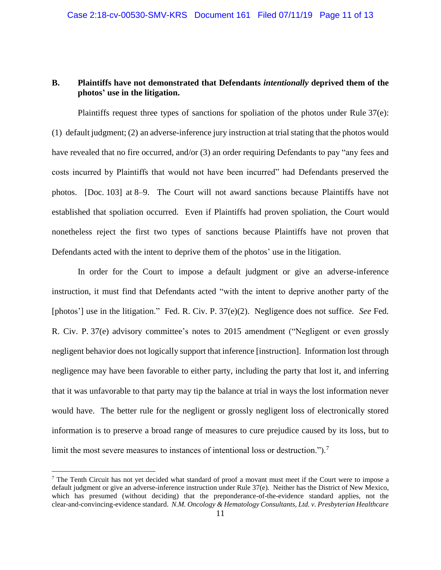# **B. Plaintiffs have not demonstrated that Defendants** *intentionally* **deprived them of the photos' use in the litigation.**

Plaintiffs request three types of sanctions for spoliation of the photos under Rule  $37(e)$ : (1) default judgment; (2) an adverse-inference jury instruction at trial stating that the photos would have revealed that no fire occurred, and/or (3) an order requiring Defendants to pay "any fees and costs incurred by Plaintiffs that would not have been incurred" had Defendants preserved the photos. [Doc. 103] at 8–9. The Court will not award sanctions because Plaintiffs have not established that spoliation occurred. Even if Plaintiffs had proven spoliation, the Court would nonetheless reject the first two types of sanctions because Plaintiffs have not proven that Defendants acted with the intent to deprive them of the photos' use in the litigation.

In order for the Court to impose a default judgment or give an adverse-inference instruction, it must find that Defendants acted "with the intent to deprive another party of the [photos'] use in the litigation." Fed. R. Civ. P. 37(e)(2). Negligence does not suffice. *See* Fed. R. Civ. P. 37(e) advisory committee's notes to 2015 amendment ("Negligent or even grossly negligent behavior does not logically support that inference [instruction]. Information lost through negligence may have been favorable to either party, including the party that lost it, and inferring that it was unfavorable to that party may tip the balance at trial in ways the lost information never would have. The better rule for the negligent or grossly negligent loss of electronically stored information is to preserve a broad range of measures to cure prejudice caused by its loss, but to limit the most severe measures to instances of intentional loss or destruction.").<sup>7</sup>

<sup>&</sup>lt;sup>7</sup> The Tenth Circuit has not yet decided what standard of proof a movant must meet if the Court were to impose a default judgment or give an adverse-inference instruction under Rule 37(e). Neither has the District of New Mexico, which has presumed (without deciding) that the preponderance-of-the-evidence standard applies, not the clear-and-convincing-evidence standard. *N.M. Oncology & Hematology Consultants, Ltd. v. Presbyterian Healthcare*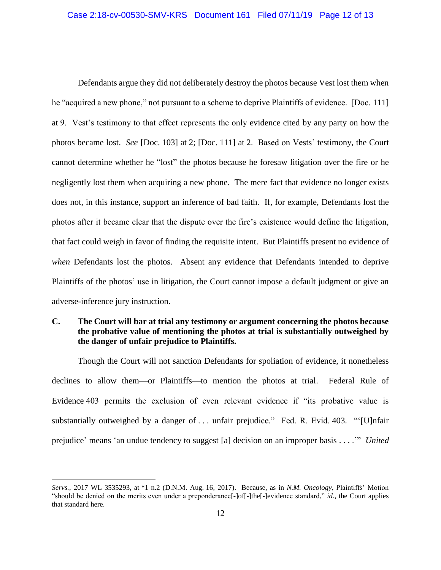Defendants argue they did not deliberately destroy the photos because Vest lost them when he "acquired a new phone," not pursuant to a scheme to deprive Plaintiffs of evidence. [Doc. 111] at 9. Vest's testimony to that effect represents the only evidence cited by any party on how the photos became lost. *See* [Doc. 103] at 2; [Doc. 111] at 2. Based on Vests' testimony, the Court cannot determine whether he "lost" the photos because he foresaw litigation over the fire or he negligently lost them when acquiring a new phone. The mere fact that evidence no longer exists does not, in this instance, support an inference of bad faith. If, for example, Defendants lost the photos after it became clear that the dispute over the fire's existence would define the litigation, that fact could weigh in favor of finding the requisite intent. But Plaintiffs present no evidence of *when* Defendants lost the photos. Absent any evidence that Defendants intended to deprive Plaintiffs of the photos' use in litigation, the Court cannot impose a default judgment or give an adverse-inference jury instruction.

# **C. The Court will bar at trial any testimony or argument concerning the photos because the probative value of mentioning the photos at trial is substantially outweighed by the danger of unfair prejudice to Plaintiffs.**

Though the Court will not sanction Defendants for spoliation of evidence, it nonetheless declines to allow them—or Plaintiffs—to mention the photos at trial. Federal Rule of Evidence 403 permits the exclusion of even relevant evidence if "its probative value is substantially outweighed by a danger of ... unfair prejudice." Fed. R. Evid. 403. "'[U]nfair prejudice' means 'an undue tendency to suggest [a] decision on an improper basis . . . .'" *United* 

*Servs.*, 2017 WL 3535293, at \*1 n.2 (D.N.M. Aug. 16, 2017). Because, as in *N.M. Oncology*, Plaintiffs' Motion "should be denied on the merits even under a preponderance[-]of[-]the[-]evidence standard," *id.*, the Court applies that standard here.